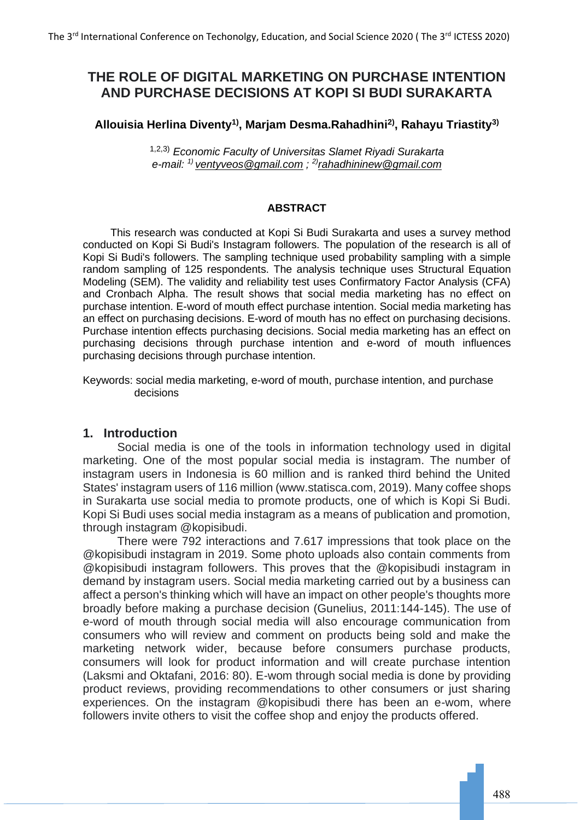# **THE ROLE OF DIGITAL MARKETING ON PURCHASE INTENTION AND PURCHASE DECISIONS AT KOPI SI BUDI SURAKARTA**

## **Allouisia Herlina Diventy1), Marjam Desma.Rahadhini2), Rahayu Triastity3)**

1,2,3) *Economic Faculty of Universitas Slamet Riyadi Surakarta e-mail: 1) [ventyveos@gmail.com](mailto:ventyveos@gmail.com) ; 2)[rahadhininew@gmail.com](mailto:rahadhininew@gmail.com)*

#### **ABSTRACT**

This research was conducted at Kopi Si Budi Surakarta and uses a survey method conducted on Kopi Si Budi's Instagram followers. The population of the research is all of Kopi Si Budi's followers. The sampling technique used probability sampling with a simple random sampling of 125 respondents. The analysis technique uses Structural Equation Modeling (SEM). The validity and reliability test uses Confirmatory Factor Analysis (CFA) and Cronbach Alpha. The result shows that social media marketing has no effect on purchase intention. E-word of mouth effect purchase intention. Social media marketing has an effect on purchasing decisions. E-word of mouth has no effect on purchasing decisions. Purchase intention effects purchasing decisions. Social media marketing has an effect on purchasing decisions through purchase intention and e-word of mouth influences purchasing decisions through purchase intention.

Keywords: social media marketing, e-word of mouth, purchase intention, and purchase decisions

### **1. Introduction**

Social media is one of the tools in information technology used in digital marketing. One of the most popular social media is instagram. The number of instagram users in Indonesia is 60 million and is ranked third behind the United States' instagram users of 116 million (www.statisca.com, 2019). Many coffee shops in Surakarta use social media to promote products, one of which is Kopi Si Budi. Kopi Si Budi uses social media instagram as a means of publication and promotion, through instagram @kopisibudi.

There were 792 interactions and 7.617 impressions that took place on the @kopisibudi instagram in 2019. Some photo uploads also contain comments from @kopisibudi instagram followers. This proves that the @kopisibudi instagram in demand by instagram users. Social media marketing carried out by a business can affect a person's thinking which will have an impact on other people's thoughts more broadly before making a purchase decision (Gunelius, 2011:144-145). The use of e-word of mouth through social media will also encourage communication from consumers who will review and comment on products being sold and make the marketing network wider, because before consumers purchase products, consumers will look for product information and will create purchase intention (Laksmi and Oktafani, 2016: 80). E-wom through social media is done by providing product reviews, providing recommendations to other consumers or just sharing experiences. On the instagram @kopisibudi there has been an e-wom, where followers invite others to visit the coffee shop and enjoy the products offered.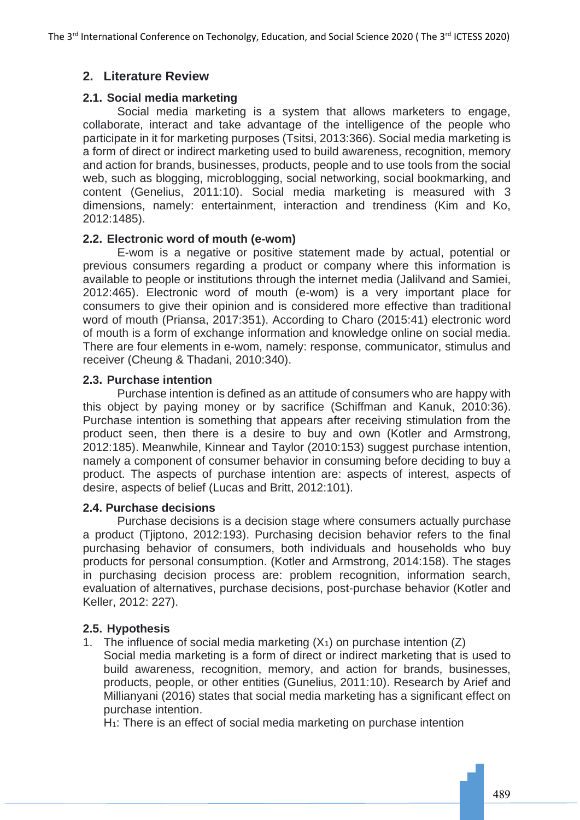# **2. Literature Review**

# **2.1. Social media marketing**

Social media marketing is a system that allows marketers to engage, collaborate, interact and take advantage of the intelligence of the people who participate in it for marketing purposes (Tsitsi, 2013:366). Social media marketing is a form of direct or indirect marketing used to build awareness, recognition, memory and action for brands, businesses, products, people and to use tools from the social web, such as blogging, microblogging, social networking, social bookmarking, and content (Genelius, 2011:10). Social media marketing is measured with 3 dimensions, namely: entertainment, interaction and trendiness (Kim and Ko, 2012:1485).

## **2.2. Electronic word of mouth (e-wom)**

E-wom is a negative or positive statement made by actual, potential or previous consumers regarding a product or company where this information is available to people or institutions through the internet media (Jalilvand and Samiei, 2012:465). Electronic word of mouth (e-wom) is a very important place for consumers to give their opinion and is considered more effective than traditional word of mouth (Priansa, 2017:351). According to Charo (2015:41) electronic word of mouth is a form of exchange information and knowledge online on social media. There are four elements in e-wom, namely: response, communicator, stimulus and receiver (Cheung & Thadani, 2010:340).

## **2.3. Purchase intention**

Purchase intention is defined as an attitude of consumers who are happy with this object by paying money or by sacrifice (Schiffman and Kanuk, 2010:36). Purchase intention is something that appears after receiving stimulation from the product seen, then there is a desire to buy and own (Kotler and Armstrong, 2012:185). Meanwhile, Kinnear and Taylor (2010:153) suggest purchase intention, namely a component of consumer behavior in consuming before deciding to buy a product. The aspects of purchase intention are: aspects of interest, aspects of desire, aspects of belief (Lucas and Britt, 2012:101).

### **2.4. Purchase decisions**

Purchase decisions is a decision stage where consumers actually purchase a product (Tjiptono, 2012:193). Purchasing decision behavior refers to the final purchasing behavior of consumers, both individuals and households who buy products for personal consumption. (Kotler and Armstrong, 2014:158). The stages in purchasing decision process are: problem recognition, information search, evaluation of alternatives, purchase decisions, post-purchase behavior (Kotler and Keller, 2012: 227).

# **2.5. Hypothesis**

1. The influence of social media marketing  $(X_1)$  on purchase intention  $(Z)$ Social media marketing is a form of direct or indirect marketing that is used to build awareness, recognition, memory, and action for brands, businesses, products, people, or other entities (Gunelius, 2011:10). Research by Arief and Millianyani (2016) states that social media marketing has a significant effect on purchase intention.

H<sub>1</sub>: There is an effect of social media marketing on purchase intention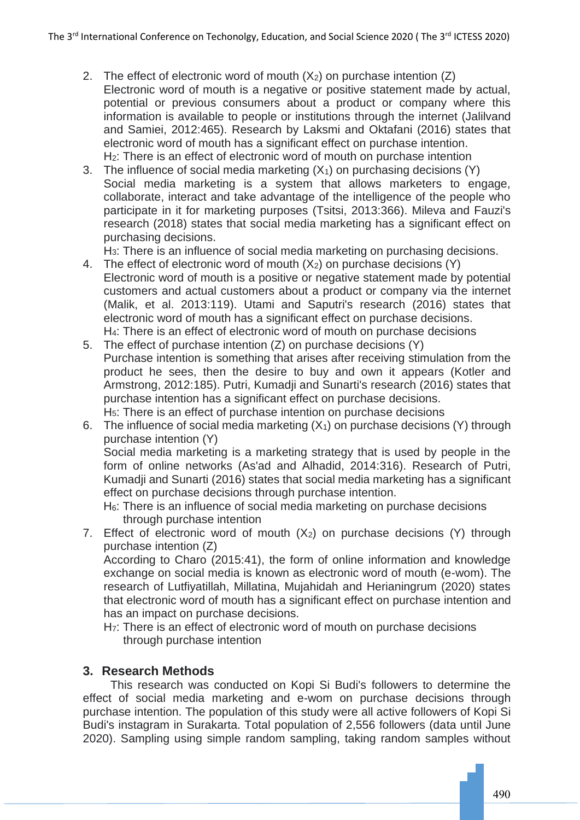- 2. The effect of electronic word of mouth  $(X_2)$  on purchase intention  $(Z)$ Electronic word of mouth is a negative or positive statement made by actual, potential or previous consumers about a product or company where this information is available to people or institutions through the internet (Jalilvand and Samiei, 2012:465). Research by Laksmi and Oktafani (2016) states that electronic word of mouth has a significant effect on purchase intention. H2: There is an effect of electronic word of mouth on purchase intention
- 3. The influence of social media marketing  $(X_1)$  on purchasing decisions  $(Y)$ Social media marketing is a system that allows marketers to engage, collaborate, interact and take advantage of the intelligence of the people who participate in it for marketing purposes (Tsitsi, 2013:366). Mileva and Fauzi's research (2018) states that social media marketing has a significant effect on purchasing decisions.

H3: There is an influence of social media marketing on purchasing decisions.

- 4. The effect of electronic word of mouth  $(X_2)$  on purchase decisions  $(Y)$ Electronic word of mouth is a positive or negative statement made by potential customers and actual customers about a product or company via the internet (Malik, et al. 2013:119). Utami and Saputri's research (2016) states that electronic word of mouth has a significant effect on purchase decisions. H4: There is an effect of electronic word of mouth on purchase decisions
- 5. The effect of purchase intention (Z) on purchase decisions (Y) Purchase intention is something that arises after receiving stimulation from the product he sees, then the desire to buy and own it appears (Kotler and Armstrong, 2012:185). Putri, Kumadji and Sunarti's research (2016) states that purchase intention has a significant effect on purchase decisions. H5: There is an effect of purchase intention on purchase decisions
- 6. The influence of social media marketing  $(X_1)$  on purchase decisions  $(Y)$  through purchase intention (Y) Social media marketing is a marketing strategy that is used by people in the form of online networks (As'ad and Alhadid, 2014:316). Research of Putri, Kumadji and Sunarti (2016) states that social media marketing has a significant effect on purchase decisions through purchase intention. H<sub>6</sub>: There is an influence of social media marketing on purchase decisions

through purchase intention

7. Effect of electronic word of mouth  $(X_2)$  on purchase decisions  $(Y)$  through purchase intention (Z)

According to Charo (2015:41), the form of online information and knowledge exchange on social media is known as electronic word of mouth (e-wom). The research of Lutfiyatillah, Millatina, Mujahidah and Herianingrum (2020) states that electronic word of mouth has a significant effect on purchase intention and has an impact on purchase decisions.

H<sub>7</sub>: There is an effect of electronic word of mouth on purchase decisions through purchase intention

# **3. Research Methods**

This research was conducted on Kopi Si Budi's followers to determine the effect of social media marketing and e-wom on purchase decisions through purchase intention. The population of this study were all active followers of Kopi Si Budi's instagram in Surakarta. Total population of 2,556 followers (data until June 2020). Sampling using simple random sampling, taking random samples without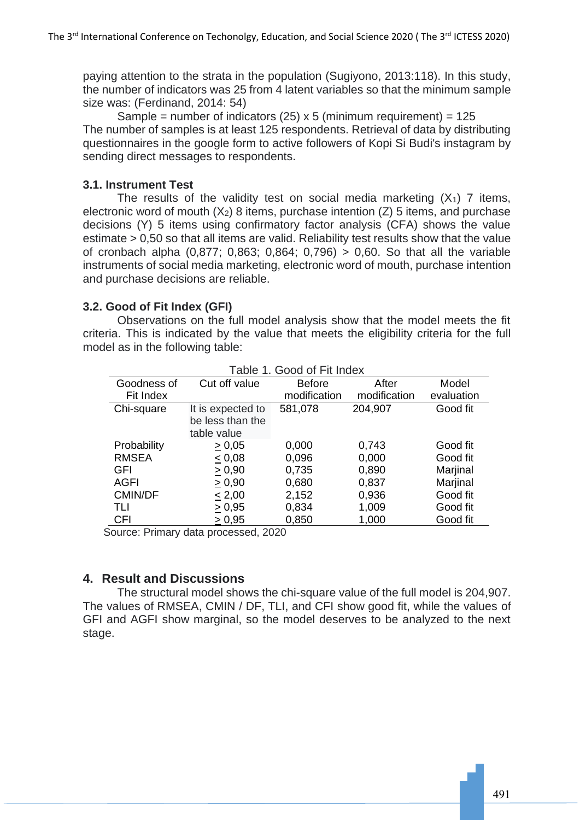paying attention to the strata in the population (Sugiyono, 2013:118). In this study, the number of indicators was 25 from 4 latent variables so that the minimum sample size was: (Ferdinand, 2014: 54)

Sample = number of indicators (25)  $\times$  5 (minimum requirement) = 125 The number of samples is at least 125 respondents. Retrieval of data by distributing questionnaires in the google form to active followers of Kopi Si Budi's instagram by sending direct messages to respondents.

# **3.1. Instrument Test**

The results of the validity test on social media marketing  $(X_1)$  7 items, electronic word of mouth  $(X_2)$  8 items, purchase intention  $(Z)$  5 items, and purchase decisions (Y) 5 items using confirmatory factor analysis (CFA) shows the value estimate > 0,50 so that all items are valid. Reliability test results show that the value of cronbach alpha (0,877; 0,863; 0,864; 0,796) > 0,60. So that all the variable instruments of social media marketing, electronic word of mouth, purchase intention and purchase decisions are reliable.

## **3.2. Good of Fit Index (GFI)**

Observations on the full model analysis show that the model meets the fit criteria. This is indicated by the value that meets the eligibility criteria for the full model as in the following table:

| aple 1. Good of Fit Index |                                                      |               |              |            |  |
|---------------------------|------------------------------------------------------|---------------|--------------|------------|--|
| Goodness of               | Cut off value                                        | <b>Before</b> | After        | Model      |  |
| Fit Index                 |                                                      | modification  | modification | evaluation |  |
| Chi-square                | It is expected to<br>be less than the<br>table value | 581,078       | 204,907      | Good fit   |  |
| Probability               | $\geq 0.05$                                          | 0,000         | 0,743        | Good fit   |  |
| <b>RMSEA</b>              | < 0.08                                               | 0,096         | 0,000        | Good fit   |  |
| <b>GFI</b>                | > 0,90                                               | 0,735         | 0,890        | Marjinal   |  |
| <b>AGFI</b>               | > 0,90                                               | 0,680         | 0,837        | Marjinal   |  |
| <b>CMIN/DF</b>            | $\leq 2,00$                                          | 2,152         | 0,936        | Good fit   |  |
| TLI                       | > 0,95                                               | 0,834         | 1,009        | Good fit   |  |
| <b>CFI</b>                | > 0,95                                               | 0,850         | 1,000        | Good fit   |  |
|                           |                                                      |               |              |            |  |

Table 1. Good of Fit Index

Source: Primary data processed, 2020

# **4. Result and Discussions**

The structural model shows the chi-square value of the full model is 204,907. The values of RMSEA, CMIN / DF, TLI, and CFI show good fit, while the values of GFI and AGFI show marginal, so the model deserves to be analyzed to the next stage.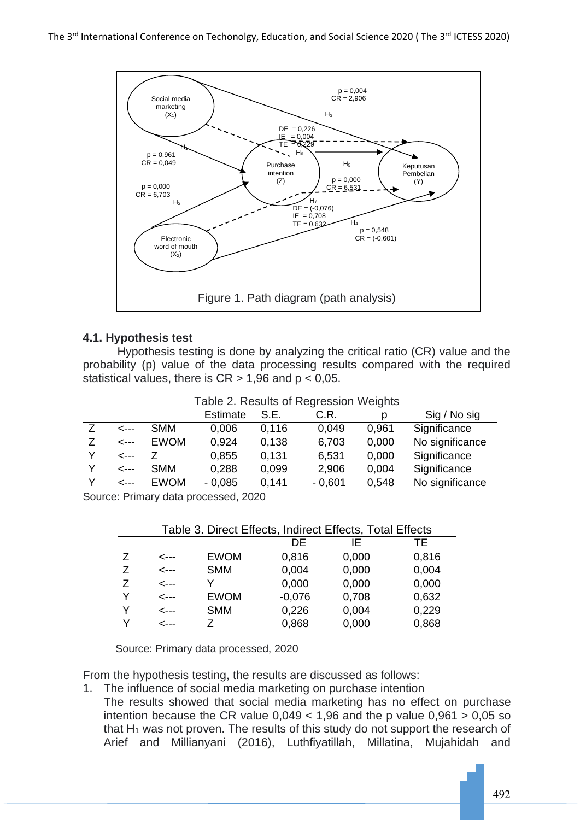

### **4.1. Hypothesis test**

Hypothesis testing is done by analyzing the critical ratio (CR) value and the probability (p) value of the data processing results compared with the required statistical values, there is  $CR > 1,96$  and  $p < 0,05$ .

|              |             | Table 2. Results of Regression Weights |       |          |       |                 |
|--------------|-------------|----------------------------------------|-------|----------|-------|-----------------|
|              |             | <b>Estimate</b>                        | S.E.  | C.R.     | p     | Sig / No sig    |
| ---->        | <b>SMM</b>  | 0,006                                  | 0.116 | 0.049    | 0,961 | Significance    |
| $\leftarrow$ | <b>EWOM</b> | 0.924                                  | 0.138 | 6,703    | 0.000 | No significance |
| --->         |             | 0,855                                  | 0.131 | 6,531    | 0,000 | Significance    |
| --->         | <b>SMM</b>  | 0,288                                  | 0.099 | 2,906    | 0.004 | Significance    |
| ---->        | <b>EWOM</b> | $-0,085$                               | 0.141 | $-0,601$ | 0.548 | No significance |

Source: Primary data processed, 2020

| Table 3. Direct Effects, Indirect Effects, Total Effects |       |             |          |       |       |
|----------------------------------------------------------|-------|-------------|----------|-------|-------|
|                                                          |       |             | DE       | IF    | TЕ    |
| 7                                                        | <---  | <b>EWOM</b> | 0,816    | 0,000 | 0,816 |
| Ζ                                                        | --->  | <b>SMM</b>  | 0,004    | 0,000 | 0,004 |
| 7                                                        | <---  | v           | 0,000    | 0,000 | 0,000 |
| v                                                        | <---  | <b>EWOM</b> | $-0,076$ | 0,708 | 0,632 |
| Υ                                                        | <---  | <b>SMM</b>  | 0,226    | 0,004 | 0,229 |
| v                                                        | ----> | 7           | 0,868    | 0,000 | 0,868 |
|                                                          |       |             |          |       |       |

Source: Primary data processed, 2020

From the hypothesis testing, the results are discussed as follows:

- 1. The influence of social media marketing on purchase intention
	- The results showed that social media marketing has no effect on purchase intention because the CR value  $0.049 < 1.96$  and the p value  $0.961 > 0.05$  so that  $H_1$  was not proven. The results of this study do not support the research of Arief and Millianyani (2016), Luthfiyatillah, Millatina, Mujahidah and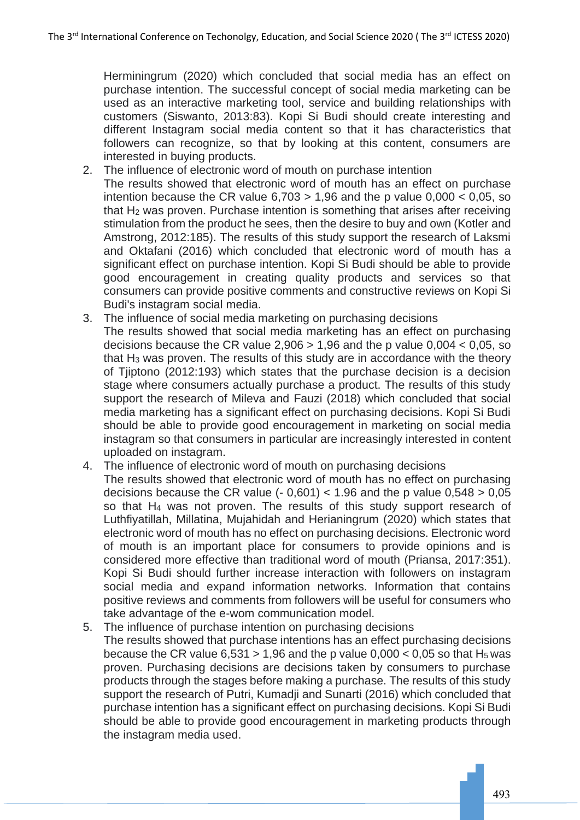Herminingrum (2020) which concluded that social media has an effect on purchase intention. The successful concept of social media marketing can be used as an interactive marketing tool, service and building relationships with customers (Siswanto, 2013:83). Kopi Si Budi should create interesting and different Instagram social media content so that it has characteristics that followers can recognize, so that by looking at this content, consumers are interested in buying products.

- 2. The influence of electronic word of mouth on purchase intention
- The results showed that electronic word of mouth has an effect on purchase intention because the CR value  $6,703 > 1,96$  and the p value  $0,000 < 0,05$ , so that H<sup>2</sup> was proven. Purchase intention is something that arises after receiving stimulation from the product he sees, then the desire to buy and own (Kotler and Amstrong, 2012:185). The results of this study support the research of Laksmi and Oktafani (2016) which concluded that electronic word of mouth has a significant effect on purchase intention. Kopi Si Budi should be able to provide good encouragement in creating quality products and services so that consumers can provide positive comments and constructive reviews on Kopi Si Budi's instagram social media.
- 3. The influence of social media marketing on purchasing decisions The results showed that social media marketing has an effect on purchasing decisions because the CR value 2,906 > 1,96 and the p value 0,004 < 0,05, so that H<sup>3</sup> was proven. The results of this study are in accordance with the theory of Tjiptono (2012:193) which states that the purchase decision is a decision stage where consumers actually purchase a product. The results of this study support the research of Mileva and Fauzi (2018) which concluded that social media marketing has a significant effect on purchasing decisions. Kopi Si Budi should be able to provide good encouragement in marketing on social media instagram so that consumers in particular are increasingly interested in content uploaded on instagram.
- 4. The influence of electronic word of mouth on purchasing decisions The results showed that electronic word of mouth has no effect on purchasing decisions because the CR value  $(-0.601) < 1.96$  and the p value  $0.548 > 0.05$ so that H<sup>4</sup> was not proven. The results of this study support research of Luthfiyatillah, Millatina, Mujahidah and Herianingrum (2020) which states that electronic word of mouth has no effect on purchasing decisions. Electronic word of mouth is an important place for consumers to provide opinions and is considered more effective than traditional word of mouth (Priansa, 2017:351). Kopi Si Budi should further increase interaction with followers on instagram social media and expand information networks. Information that contains positive reviews and comments from followers will be useful for consumers who take advantage of the e-wom communication model.
- 5. The influence of purchase intention on purchasing decisions The results showed that purchase intentions has an effect purchasing decisions because the CR value  $6,531 > 1,96$  and the p value  $0,000 < 0,05$  so that H<sub>5</sub> was proven. Purchasing decisions are decisions taken by consumers to purchase products through the stages before making a purchase. The results of this study support the research of Putri, Kumadji and Sunarti (2016) which concluded that purchase intention has a significant effect on purchasing decisions. Kopi Si Budi should be able to provide good encouragement in marketing products through the instagram media used.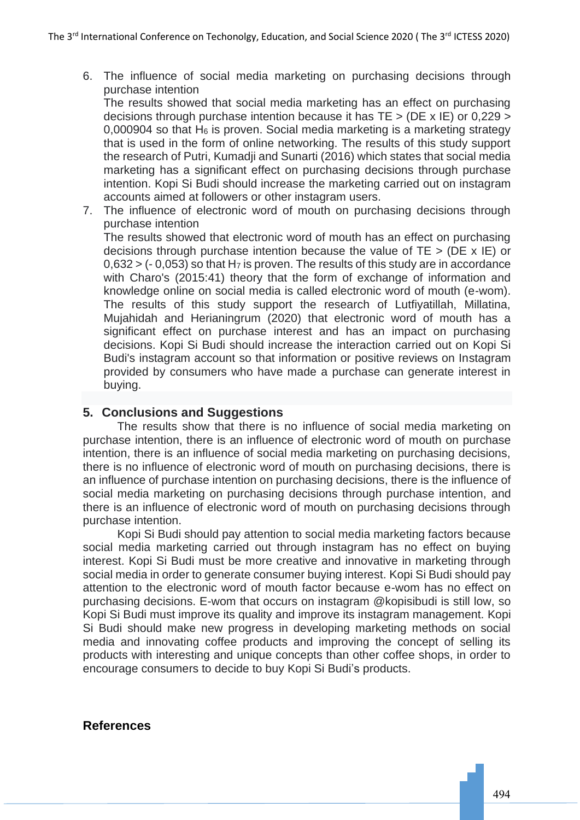6. The influence of social media marketing on purchasing decisions through purchase intention

The results showed that social media marketing has an effect on purchasing decisions through purchase intention because it has TE > (DE x IE) or 0,229 >  $0,000904$  so that H<sub>6</sub> is proven. Social media marketing is a marketing strategy that is used in the form of online networking. The results of this study support the research of Putri, Kumadji and Sunarti (2016) which states that social media marketing has a significant effect on purchasing decisions through purchase intention. Kopi Si Budi should increase the marketing carried out on instagram accounts aimed at followers or other instagram users.

7. The influence of electronic word of mouth on purchasing decisions through purchase intention

The results showed that electronic word of mouth has an effect on purchasing decisions through purchase intention because the value of  $TE > (DE \times IE)$  or  $0.632 > (-0.053)$  so that H<sub>7</sub> is proven. The results of this study are in accordance with Charo's (2015:41) theory that the form of exchange of information and knowledge online on social media is called electronic word of mouth (e-wom). The results of this study support the research of Lutfiyatillah, Millatina, Mujahidah and Herianingrum (2020) that electronic word of mouth has a significant effect on purchase interest and has an impact on purchasing decisions. Kopi Si Budi should increase the interaction carried out on Kopi Si Budi's instagram account so that information or positive reviews on Instagram provided by consumers who have made a purchase can generate interest in buying.

# **5. Conclusions and Suggestions**

The results show that there is no influence of social media marketing on purchase intention, there is an influence of electronic word of mouth on purchase intention, there is an influence of social media marketing on purchasing decisions, there is no influence of electronic word of mouth on purchasing decisions, there is an influence of purchase intention on purchasing decisions, there is the influence of social media marketing on purchasing decisions through purchase intention, and there is an influence of electronic word of mouth on purchasing decisions through purchase intention.

Kopi Si Budi should pay attention to social media marketing factors because social media marketing carried out through instagram has no effect on buying interest. Kopi Si Budi must be more creative and innovative in marketing through social media in order to generate consumer buying interest. Kopi Si Budi should pay attention to the electronic word of mouth factor because e-wom has no effect on purchasing decisions. E-wom that occurs on instagram @kopisibudi is still low, so Kopi Si Budi must improve its quality and improve its instagram management. Kopi Si Budi should make new progress in developing marketing methods on social media and innovating coffee products and improving the concept of selling its products with interesting and unique concepts than other coffee shops, in order to encourage consumers to decide to buy Kopi Si Budi's products.

### **References**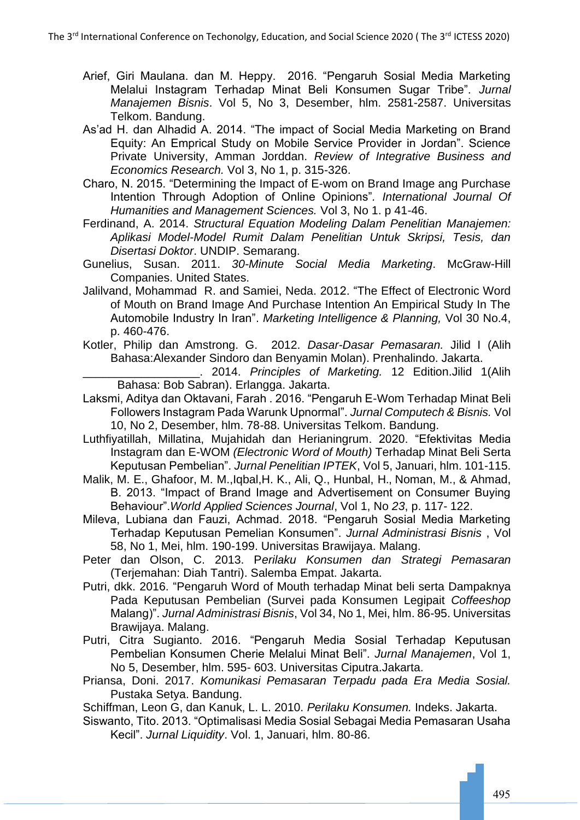- Arief, Giri Maulana. dan M. Heppy. 2016. "Pengaruh Sosial Media Marketing Melalui Instagram Terhadap Minat Beli Konsumen Sugar Tribe". *Jurnal Manajemen Bisnis*. Vol 5, No 3, Desember, hlm. 2581-2587. Universitas Telkom. Bandung.
- As'ad H. dan Alhadid A. 2014. "The impact of Social Media Marketing on Brand Equity: An Emprical Study on Mobile Service Provider in Jordan". Science Private University, Amman Jorddan. *Review of Integrative Business and Economics Research.* Vol 3, No 1, p. 315-326.
- Charo, N. 2015. "Determining the Impact of E-wom on Brand Image ang Purchase Intention Through Adoption of Online Opinions"*. International Journal Of Humanities and Management Sciences.* Vol 3, No 1. p 41-46.
- Ferdinand, A. 2014. *Structural Equation Modeling Dalam Penelitian Manajemen: Aplikasi Model-Model Rumit Dalam Penelitian Untuk Skripsi, Tesis, dan Disertasi Doktor*. UNDIP. Semarang.
- Gunelius, Susan. 2011. *30-Minute Social Media Marketing*. McGraw-Hill Companies. United States.
- Jalilvand, Mohammad R. and Samiei, Neda. 2012. "The Effect of Electronic Word of Mouth on Brand Image And Purchase Intention An Empirical Study In The Automobile Industry In Iran". *Marketing Intelligence & Planning,* Vol 30 No.4, p. 460-476.
- Kotler, Philip dan Amstrong. G. 2012. *Dasar-Dasar Pemasaran.* Jilid I (Alih Bahasa:Alexander Sindoro dan Benyamin Molan). Prenhalindo. Jakarta.

\_\_\_\_\_\_\_\_\_\_\_\_\_\_\_\_\_\_. 2014. *Principles of Marketing.* 12 Edition.Jilid 1(Alih Bahasa: Bob Sabran). Erlangga. Jakarta.

- Laksmi, Aditya dan Oktavani, Farah . 2016. "Pengaruh E-Wom Terhadap Minat Beli Followers Instagram Pada Warunk Upnormal". *Jurnal Computech & Bisnis.* Vol 10, No 2, Desember, hlm. 78-88. Universitas Telkom. Bandung.
- Luthfiyatillah, Millatina, Mujahidah dan Herianingrum. 2020. "Efektivitas Media Instagram dan E-WOM *(Electronic Word of Mouth)* Terhadap Minat Beli Serta Keputusan Pembelian". *Jurnal Penelitian IPTEK*, Vol 5, Januari, hlm. 101-115.
- Malik, M. E., Ghafoor, M. M.,Iqbal,H. K., Ali, Q., Hunbal, H., Noman, M., & Ahmad, B. 2013. "Impact of Brand Image and Advertisement on Consumer Buying Behaviour".*World Applied Sciences Journal*, Vol 1, No *23*, p. 117- 122.
- Mileva, Lubiana dan Fauzi, Achmad. 2018. "Pengaruh Sosial Media Marketing Terhadap Keputusan Pemelian Konsumen". *Jurnal Administrasi Bisnis* , Vol 58, No 1, Mei, hlm. 190-199. Universitas Brawijaya. Malang.
- Peter dan Olson, C. 2013. P*erilaku Konsumen dan Strategi Pemasaran* (Terjemahan: Diah Tantri). Salemba Empat. Jakarta.
- Putri, dkk. 2016. "Pengaruh Word of Mouth terhadap Minat beli serta Dampaknya Pada Keputusan Pembelian (Survei pada Konsumen Legipait *Coffeeshop*  Malang)". *Jurnal Administrasi Bisnis*, Vol 34, No 1, Mei, hlm. 86-95. Universitas Brawijaya. Malang.
- Putri, Citra Sugianto. 2016. "Pengaruh Media Sosial Terhadap Keputusan Pembelian Konsumen Cherie Melalui Minat Beli". *Jurnal Manajemen*, Vol 1, No 5, Desember, hlm. 595- 603. Universitas Ciputra.Jakarta.
- Priansa, Doni. 2017. *Komunikasi Pemasaran Terpadu pada Era Media Sosial.*  Pustaka Setya. Bandung.

Schiffman, Leon G, dan Kanuk, L. L. 2010. *Perilaku Konsumen.* Indeks. Jakarta.

Siswanto, Tito. 2013. "Optimalisasi Media Sosial Sebagai Media Pemasaran Usaha Kecil". *Jurnal Liquidity*. Vol. 1, Januari, hlm. 80-86.